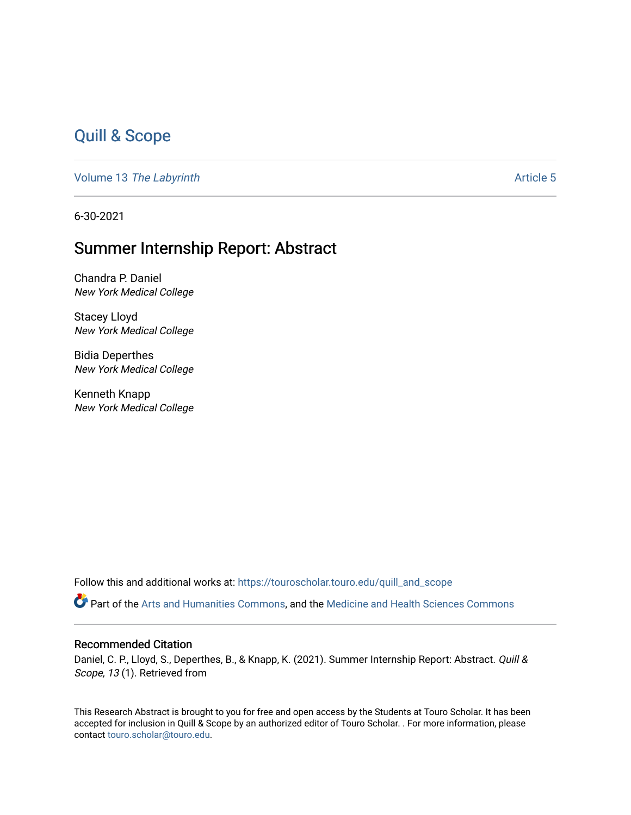## [Quill & Scope](https://touroscholar.touro.edu/quill_and_scope)

Volume 13 [The Labyrinth](https://touroscholar.touro.edu/quill_and_scope/vol13) Article 5

6-30-2021

## Summer Internship Report: Abstract

Chandra P. Daniel New York Medical College

Stacey Lloyd New York Medical College

Bidia Deperthes New York Medical College

Kenneth Knapp New York Medical College

Follow this and additional works at: [https://touroscholar.touro.edu/quill\\_and\\_scope](https://touroscholar.touro.edu/quill_and_scope?utm_source=touroscholar.touro.edu%2Fquill_and_scope%2Fvol13%2Fiss1%2F5&utm_medium=PDF&utm_campaign=PDFCoverPages)

Part of the [Arts and Humanities Commons,](http://network.bepress.com/hgg/discipline/438?utm_source=touroscholar.touro.edu%2Fquill_and_scope%2Fvol13%2Fiss1%2F5&utm_medium=PDF&utm_campaign=PDFCoverPages) and the [Medicine and Health Sciences Commons](http://network.bepress.com/hgg/discipline/648?utm_source=touroscholar.touro.edu%2Fquill_and_scope%2Fvol13%2Fiss1%2F5&utm_medium=PDF&utm_campaign=PDFCoverPages)

#### Recommended Citation

Daniel, C. P., Lloyd, S., Deperthes, B., & Knapp, K. (2021). Summer Internship Report: Abstract. Quill & Scope, 13 (1). Retrieved from

This Research Abstract is brought to you for free and open access by the Students at Touro Scholar. It has been accepted for inclusion in Quill & Scope by an authorized editor of Touro Scholar. . For more information, please contact [touro.scholar@touro.edu.](mailto:touro.scholar@touro.edu)